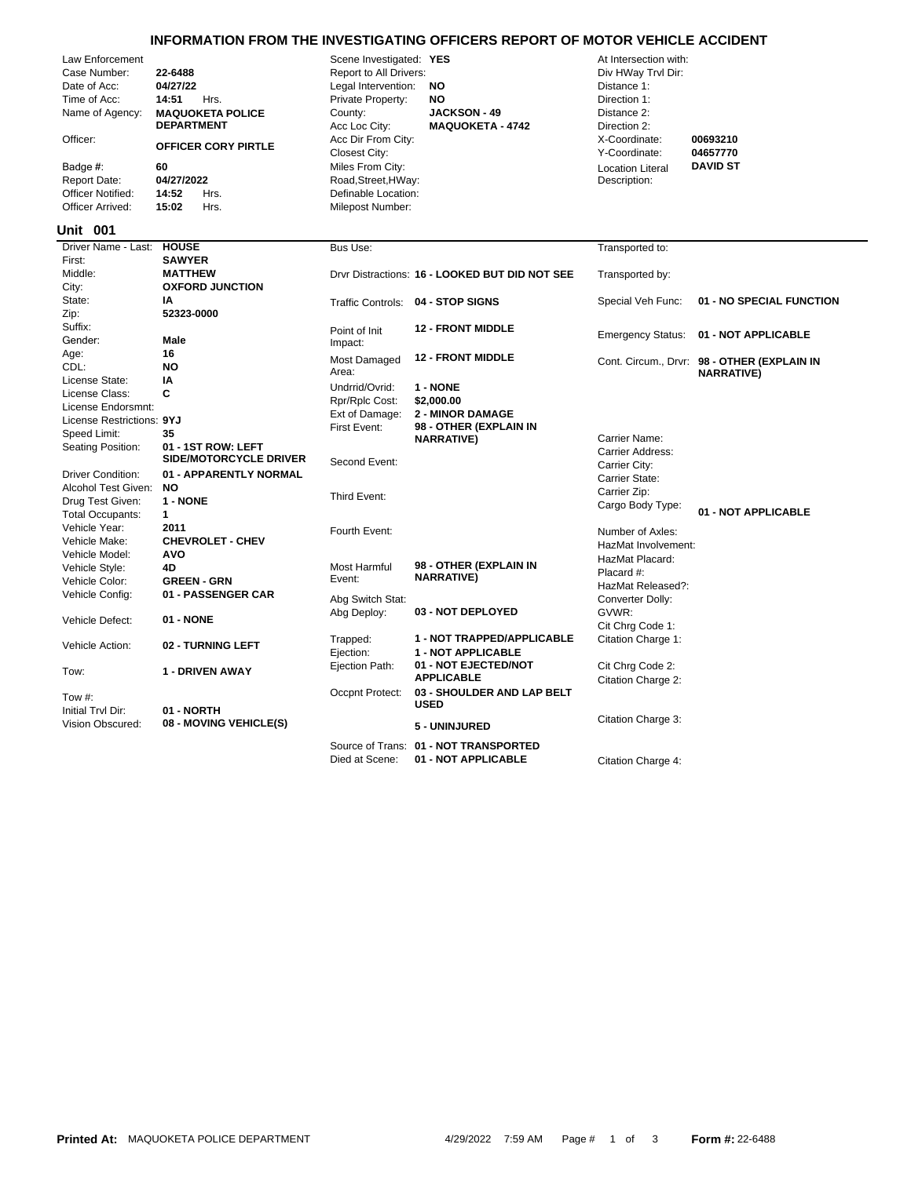## **INFORMATION FROM THE INVESTIGATING OFFICERS REPORT OF MOTOR VEHICLE ACCIDENT**

Private Property: **NO** Direction 1: Legal Intervention: **NO** Distance 1: Report to All Drivers: **22-648 Report to All Drivers:** 22-488 **Div HWay Trvl Dir:** Scene Investigated: **YES** At Intersection with:

| Law Enforcement   |                            | Scene investigated: TES    |                         | At intersection with: |                 |  |
|-------------------|----------------------------|----------------------------|-------------------------|-----------------------|-----------------|--|
| Case Number:      | 22-6488                    | Report to All Drivers:     |                         | Div HWay Trvl Dir:    |                 |  |
| Date of Acc:      | 04/27/22                   | Legal Intervention:<br>NO. |                         | Distance 1:           |                 |  |
| Time of Acc:      | Hrs.<br>14:51              | Private Property:          | NO.                     | Direction 1:          |                 |  |
| Name of Agency:   | <b>MAQUOKETA POLICE</b>    | County:                    | <b>JACKSON - 49</b>     | Distance 2:           |                 |  |
|                   | <b>DEPARTMENT</b>          | Acc Loc City:              | <b>MAQUOKETA - 4742</b> | Direction 2:          |                 |  |
| Officer:          | <b>OFFICER CORY PIRTLE</b> | Acc Dir From City:         |                         | X-Coordinate:         | 00693210        |  |
|                   |                            | Closest City:              |                         | Y-Coordinate:         | 04657770        |  |
| Badge #:          | 60                         | Miles From City:           |                         | Location Literal      | <b>DAVID ST</b> |  |
| Report Date:      | 04/27/2022                 | Road, Street, HWay:        |                         | Description:          |                 |  |
| Officer Notified: | 14:52<br>Hrs               | Definable Location:        |                         |                       |                 |  |

Officer Arrived: **15:02** Hrs. Milepost Number:

## Died at Scene: **01 - NOT APPLICABLE** Citation Charge 4: Source of Trans: **01 - NOT TRANSPORTED** Vision Obscured: **01 - NORTH**<br>
Vision Obscured: **08 - MOVING VEHICLE(S)** 6 - **5 - UNINJURED** Citation Charge 3: **Initial Trvl Dir:** Tow #: Occpnt Protect: **03 - SHOULDER AND LAP BELT USED** Citation Charge 2: Tow: **1 - DRIVEN AWAY** Ejection Path: **01 - NOT EJECTED/NOT** Cit Chrg Code 2: **APPLICABLE** Vehicle Action: **02 - TURNING LEFT** Trapped: **1 - NOT TRAPPED/APPLICABLE** Citation Charge 1:<br>Election: **1 - NOT APPLICABLE** Vehicle Defect: **01 - NONE** Abg Deploy: **03 - NOT DEPLOYED** GVWR: GVWR: Cit Chrg Code 1: 03 - NOT DEPLOYED Vehicle Config: **01 - PASSENGER CAR** Abg Switch Stat: Converter Dolly: Converter Dolly: Vehicle Color: **GREEN - GRN**<br>Vehicle Config: **01 - PASSENGER CAR** Placard #: Vehicle Style: **4D** Most Harmful **98 - OTHER (EXPLAIN IN** Event: **NARRATIVE)** Vehicle Model: **AVO AVO AVO AVO ALL ALL AND AN AVALUAT PLACE AT LET AND AN IN MAZMAT Placard:** Vehicle Make: **CHEVROLET - CHEV**<br>Vehicle Model: **AVO** Vehicle Year: **2011 2011 Exercise Section** Fourth Event: **Number of Axles:** Number of Axles: Total Occupants: **1** Cargo Body Type: **01 - NOT APPLICABLE** Drug Test Given: **1 - NONE** Third Event: Carrier Zip: Alcohol Test Given: **NO** Driver Condition: **01 - APPARENTLY NORMAL**<br>Alcohol Test Given: **NO**<br>Carrier State: Condition: **NO** Second Event: Carrier City: Speed Limit: **35**<br>
Seating Position: **01 - 1ST ROW: LEFT**<br>
Carrier Address: **01 - 1ST ROW: LEFT**<br>
Carrier Address: **SIDE/MOTORCYCLE DRIVER** Carrier Name: Speed Limit: **<sup>35</sup>** First Event: **98 - OTHER (EXPLAIN IN NARRATIVE)** License Class: **C**<br>
License Endorsmnt: **Camazing Cost:** *Ref/Rplc Cost:* **\$2,000.00<br>
License Restrictions: 9YJ<br>
License Restrictions: 9YJ** Undrrid/Ovrid: **1 - NONE** License State: **IA** CDL: **NO** Cont. Circum., Drvr: **98 - OTHER (EXPLAIN IN NARRATIVE)** Most Damaged Area: **12 - FRONT MIDDLE Male** Point of Init **12 - FRONT MIDDLE**<br> **Male** Point of Init **12 - FRONT MIDDLE** Emergency Status: **01 - NOT APPLICABLE** Impact: Suffix: **12 - FRONT MIDDLE** Zip: **52323-0000** State: **IA IA** Traffic Controls: **04 - STOP SIGNS** Special Veh Func: **01 - NO SPECIAL FUNCTION** City: **OXFORD JUNCTION** Middle: **MATTHEW** Drvr Distractions: **16 - LOOKED BUT DID NOT SEE** Transported by: First: **SAWYER Driver Name - Last: HOUSE** Bus Use: Transported to: Transported to: **001 Unit** Gender: HazMat Involvement: HazMat Released?: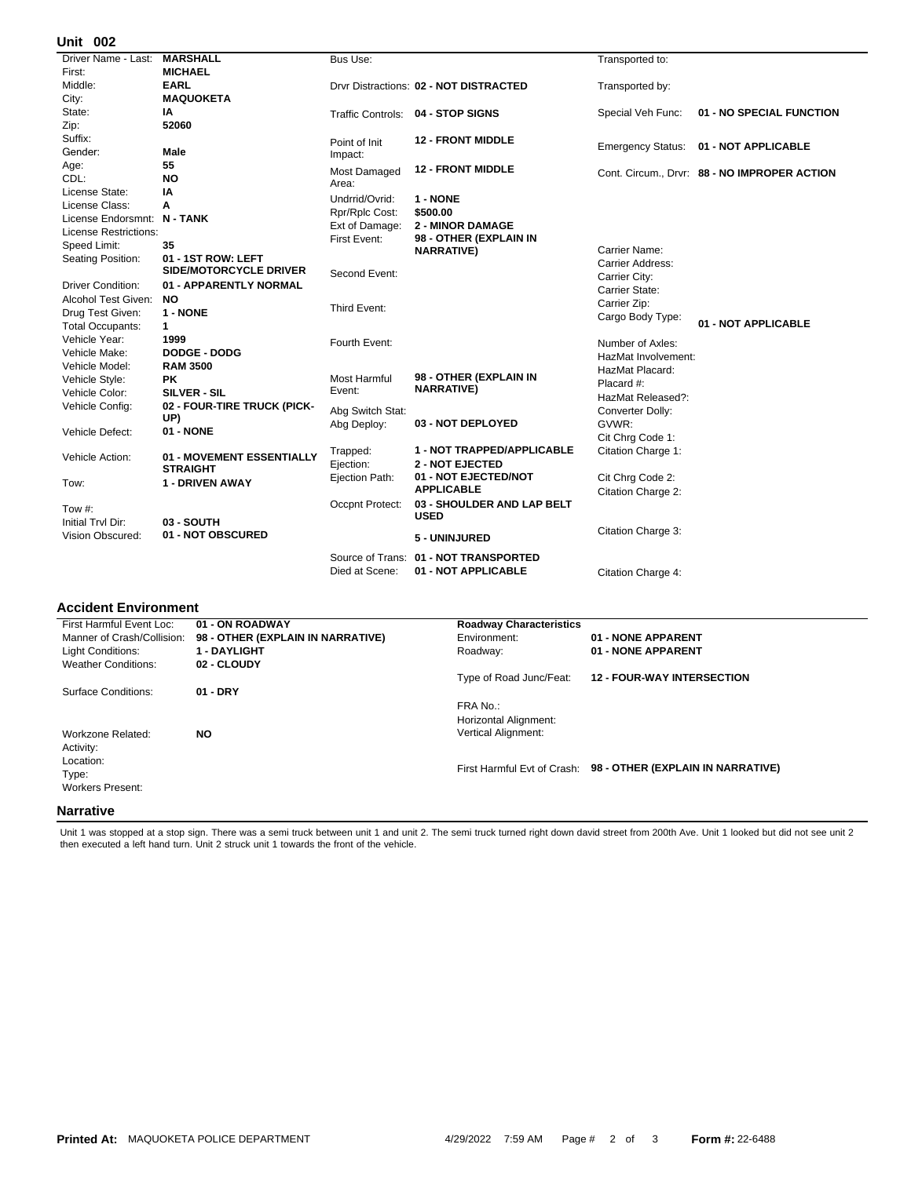## **002 Unit**

| Driver Name - Last:          | <b>MARSHALL</b>                 | Bus Use:         |                                        | Transported to:          |                                              |
|------------------------------|---------------------------------|------------------|----------------------------------------|--------------------------|----------------------------------------------|
| First:                       | <b>MICHAEL</b>                  |                  |                                        |                          |                                              |
| Middle:                      | <b>EARL</b>                     |                  | Drvr Distractions: 02 - NOT DISTRACTED | Transported by:          |                                              |
| City:                        | <b>MAQUOKETA</b>                |                  |                                        |                          |                                              |
| State:                       | ΙA                              |                  | Traffic Controls: 04 - STOP SIGNS      | Special Veh Func:        | 01 - NO SPECIAL FUNCTION                     |
| Zip:                         | 52060                           |                  |                                        |                          |                                              |
| Suffix:                      |                                 | Point of Init    | <b>12 - FRONT MIDDLE</b>               | <b>Emergency Status:</b> | 01 - NOT APPLICABLE                          |
| Gender:                      | Male                            | Impact:          |                                        |                          |                                              |
| Age:                         | 55                              | Most Damaged     | <b>12 - FRONT MIDDLE</b>               |                          | Cont. Circum., Drvr: 88 - NO IMPROPER ACTION |
| CDL:                         | <b>NO</b>                       | Area:            |                                        |                          |                                              |
| License State:               | IA                              | Undrrid/Ovrid:   | 1 - NONE                               |                          |                                              |
| License Class:               | А                               | Rpr/Rplc Cost:   | \$500.00                               |                          |                                              |
| License Endorsmnt: N - TANK  |                                 | Ext of Damage:   | <b>2 - MINOR DAMAGE</b>                |                          |                                              |
| <b>License Restrictions:</b> |                                 | First Event:     | 98 - OTHER (EXPLAIN IN                 |                          |                                              |
| Speed Limit:                 | 35                              |                  | <b>NARRATIVE)</b>                      | Carrier Name:            |                                              |
| Seating Position:            | 01 - 1ST ROW: LEFT              |                  |                                        | Carrier Address:         |                                              |
|                              | <b>SIDE/MOTORCYCLE DRIVER</b>   | Second Event:    |                                        | Carrier City:            |                                              |
| Driver Condition:            | 01 - APPARENTLY NORMAL          |                  |                                        | Carrier State:           |                                              |
| Alcohol Test Given:          | <b>NO</b>                       |                  |                                        | Carrier Zip:             |                                              |
| Drug Test Given:             | 1 - NONE                        | Third Event:     |                                        | Cargo Body Type:         |                                              |
| <b>Total Occupants:</b>      | 1                               |                  |                                        |                          | 01 - NOT APPLICABLE                          |
| Vehicle Year:                | 1999                            | Fourth Event:    |                                        | Number of Axles:         |                                              |
| Vehicle Make:                | <b>DODGE - DODG</b>             |                  |                                        | HazMat Involvement:      |                                              |
| Vehicle Model:               | <b>RAM 3500</b>                 |                  |                                        | HazMat Placard:          |                                              |
| Vehicle Style:               | <b>PK</b>                       | Most Harmful     | 98 - OTHER (EXPLAIN IN                 | Placard #:               |                                              |
| Vehicle Color:               | <b>SILVER - SIL</b>             | Event:           | <b>NARRATIVE)</b>                      | HazMat Released?:        |                                              |
| Vehicle Config:              | 02 - FOUR-TIRE TRUCK (PICK-     | Abg Switch Stat: |                                        | Converter Dolly:         |                                              |
|                              | UP)                             | Abg Deploy:      | 03 - NOT DEPLOYED                      | GVWR:                    |                                              |
| Vehicle Defect:              | 01 - NONE                       |                  |                                        | Cit Chrq Code 1:         |                                              |
|                              |                                 | Trapped:         | 1 - NOT TRAPPED/APPLICABLE             | Citation Charge 1:       |                                              |
| Vehicle Action:              | 01 - MOVEMENT ESSENTIALLY       | Ejection:        | <b>2 - NOT EJECTED</b>                 |                          |                                              |
|                              | <b>STRAIGHT</b>                 | Ejection Path:   | 01 - NOT EJECTED/NOT                   | Cit Chrg Code 2:         |                                              |
| Tow:                         | 1 - DRIVEN AWAY                 |                  | <b>APPLICABLE</b>                      | Citation Charge 2:       |                                              |
|                              |                                 | Occpnt Protect:  | 03 - SHOULDER AND LAP BELT             |                          |                                              |
| Tow $#$ :                    |                                 |                  | <b>USED</b>                            |                          |                                              |
| Initial Tryl Dir:            | 03 - SOUTH<br>01 - NOT OBSCURED |                  |                                        | Citation Charge 3:       |                                              |
| Vision Obscured:             |                                 |                  | 5 - UNINJURED                          |                          |                                              |
|                              |                                 |                  | Source of Trans: 01 - NOT TRANSPORTED  |                          |                                              |
|                              |                                 | Died at Scene:   | 01 - NOT APPLICABLE                    | Citation Charge 4:       |                                              |
|                              |                                 |                  |                                        |                          |                                              |

## **Accident Environment**

| First Harmful Event Loc:<br>Manner of Crash/Collision:     | 01 - ON ROADWAY<br>98 - OTHER (EXPLAIN IN NARRATIVE) | <b>Roadway Characteristics</b><br>Environment:                  | 01 - NONE APPARENT                                            |
|------------------------------------------------------------|------------------------------------------------------|-----------------------------------------------------------------|---------------------------------------------------------------|
| Light Conditions:                                          | <b>1 - DAYLIGHT</b>                                  | Roadway:                                                        | 01 - NONE APPARENT                                            |
| <b>Weather Conditions:</b>                                 | 02 - CLOUDY                                          |                                                                 |                                                               |
|                                                            |                                                      | Type of Road Junc/Feat:                                         | <b>12 - FOUR-WAY INTERSECTION</b>                             |
| Surface Conditions:                                        | $01 - DRY$                                           |                                                                 |                                                               |
| Workzone Related:                                          | NO.                                                  | FRA No.:<br>Horizontal Alignment:<br><b>Vertical Alignment:</b> |                                                               |
| Activity:<br>Location:<br>Type:<br><b>Workers Present:</b> |                                                      |                                                                 | First Harmful Evt of Crash: 98 - OTHER (EXPLAIN IN NARRATIVE) |
| <b>Narrative</b>                                           |                                                      |                                                                 |                                                               |

Unit 1 was stopped at a stop sign. There was a semi truck between unit 1 and unit 2. The semi truck turned right down david street from 200th Ave. Unit 1 looked but did not see unit 2<br>then executed a left hand turn. Unit 2